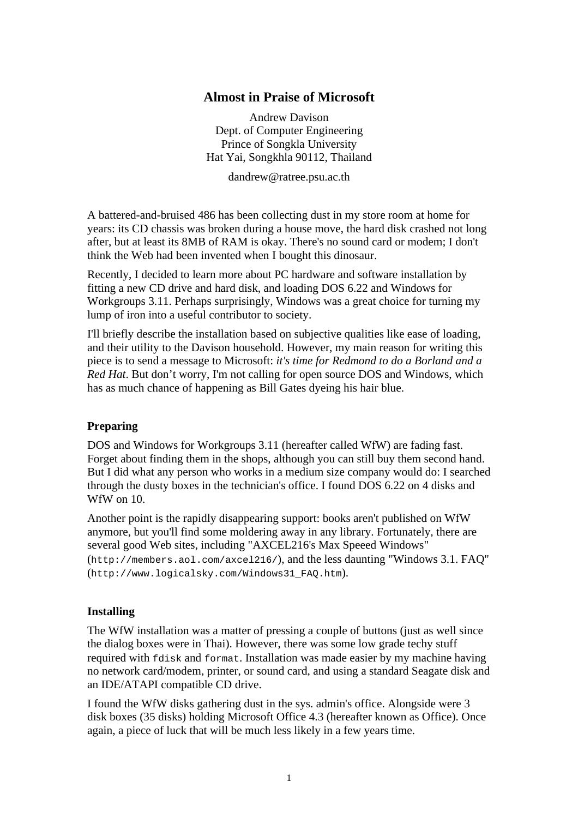### **Almost in Praise of Microsoft**

Andrew Davison Dept. of Computer Engineering Prince of Songkla University Hat Yai, Songkhla 90112, Thailand

dandrew@ratree.psu.ac.th

A battered-and-bruised 486 has been collecting dust in my store room at home for years: its CD chassis was broken during a house move, the hard disk crashed not long after, but at least its 8MB of RAM is okay. There's no sound card or modem; I don't think the Web had been invented when I bought this dinosaur.

Recently, I decided to learn more about PC hardware and software installation by fitting a new CD drive and hard disk, and loading DOS 6.22 and Windows for Workgroups 3.11. Perhaps surprisingly, Windows was a great choice for turning my lump of iron into a useful contributor to society.

I'll briefly describe the installation based on subjective qualities like ease of loading, and their utility to the Davison household. However, my main reason for writing this piece is to send a message to Microsoft: *it's time for Redmond to do a Borland and a Red Hat*. But don't worry, I'm not calling for open source DOS and Windows, which has as much chance of happening as Bill Gates dyeing his hair blue.

#### **Preparing**

DOS and Windows for Workgroups 3.11 (hereafter called WfW) are fading fast. Forget about finding them in the shops, although you can still buy them second hand. But I did what any person who works in a medium size company would do: I searched through the dusty boxes in the technician's office. I found DOS 6.22 on 4 disks and WfW on 10.

Another point is the rapidly disappearing support: books aren't published on WfW anymore, but you'll find some moldering away in any library. Fortunately, there are several good Web sites, including "AXCEL216's Max Speeed Windows" (http://members.aol.com/axcel216/), and the less daunting "Windows 3.1. FAQ" (http://www.logicalsky.com/Windows31\_FAQ.htm).

#### **Installing**

The WfW installation was a matter of pressing a couple of buttons (just as well since the dialog boxes were in Thai). However, there was some low grade techy stuff required with fdisk and format. Installation was made easier by my machine having no network card/modem, printer, or sound card, and using a standard Seagate disk and an IDE/ATAPI compatible CD drive.

I found the WfW disks gathering dust in the sys. admin's office. Alongside were 3 disk boxes (35 disks) holding Microsoft Office 4.3 (hereafter known as Office). Once again, a piece of luck that will be much less likely in a few years time.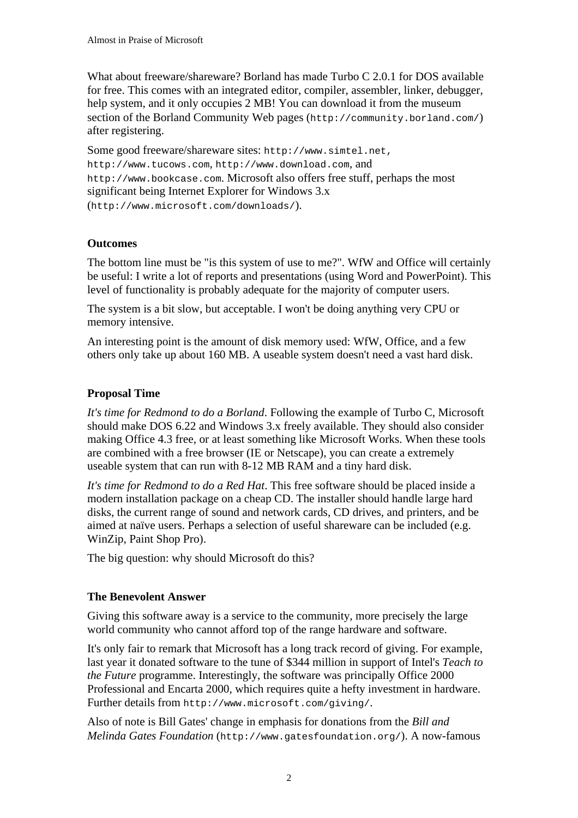What about freeware/shareware? Borland has made Turbo C 2.0.1 for DOS available for free. This comes with an integrated editor, compiler, assembler, linker, debugger, help system, and it only occupies 2 MB! You can download it from the museum section of the Borland Community Web pages (http://community.borland.com/) after registering.

Some good freeware/shareware sites: http://www.simtel.net, http://www.tucows.com, http://www.download.com, and http://www.bookcase.com. Microsoft also offers free stuff, perhaps the most significant being Internet Explorer for Windows 3.x (http://www.microsoft.com/downloads/).

# **Outcomes**

The bottom line must be "is this system of use to me?". WfW and Office will certainly be useful: I write a lot of reports and presentations (using Word and PowerPoint). This level of functionality is probably adequate for the majority of computer users.

The system is a bit slow, but acceptable. I won't be doing anything very CPU or memory intensive.

An interesting point is the amount of disk memory used: WfW, Office, and a few others only take up about 160 MB. A useable system doesn't need a vast hard disk.

# **Proposal Time**

*It's time for Redmond to do a Borland*. Following the example of Turbo C, Microsoft should make DOS 6.22 and Windows 3.x freely available. They should also consider making Office 4.3 free, or at least something like Microsoft Works. When these tools are combined with a free browser (IE or Netscape), you can create a extremely useable system that can run with 8-12 MB RAM and a tiny hard disk.

*It's time for Redmond to do a Red Hat*. This free software should be placed inside a modern installation package on a cheap CD. The installer should handle large hard disks, the current range of sound and network cards, CD drives, and printers, and be aimed at naïve users. Perhaps a selection of useful shareware can be included (e.g. WinZip, Paint Shop Pro).

The big question: why should Microsoft do this?

### **The Benevolent Answer**

Giving this software away is a service to the community, more precisely the large world community who cannot afford top of the range hardware and software.

It's only fair to remark that Microsoft has a long track record of giving. For example, last year it donated software to the tune of \$344 million in support of Intel's *Teach to the Future* programme. Interestingly, the software was principally Office 2000 Professional and Encarta 2000, which requires quite a hefty investment in hardware. Further details from http://www.microsoft.com/giving/.

Also of note is Bill Gates' change in emphasis for donations from the *Bill and Melinda Gates Foundation* (http://www.gatesfoundation.org/). A now-famous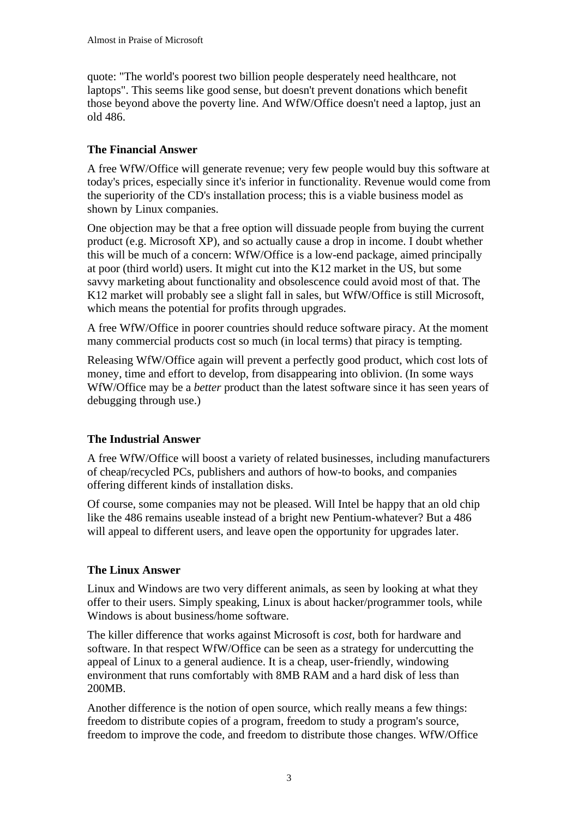quote: "The world's poorest two billion people desperately need healthcare, not laptops". This seems like good sense, but doesn't prevent donations which benefit those beyond above the poverty line. And WfW/Office doesn't need a laptop, just an old 486.

# **The Financial Answer**

A free WfW/Office will generate revenue; very few people would buy this software at today's prices, especially since it's inferior in functionality. Revenue would come from the superiority of the CD's installation process; this is a viable business model as shown by Linux companies.

One objection may be that a free option will dissuade people from buying the current product (e.g. Microsoft XP), and so actually cause a drop in income. I doubt whether this will be much of a concern: WfW/Office is a low-end package, aimed principally at poor (third world) users. It might cut into the K12 market in the US, but some savvy marketing about functionality and obsolescence could avoid most of that. The K12 market will probably see a slight fall in sales, but WfW/Office is still Microsoft, which means the potential for profits through upgrades.

A free WfW/Office in poorer countries should reduce software piracy. At the moment many commercial products cost so much (in local terms) that piracy is tempting.

Releasing WfW/Office again will prevent a perfectly good product, which cost lots of money, time and effort to develop, from disappearing into oblivion. (In some ways WfW/Office may be a *better* product than the latest software since it has seen years of debugging through use.)

# **The Industrial Answer**

A free WfW/Office will boost a variety of related businesses, including manufacturers of cheap/recycled PCs, publishers and authors of how-to books, and companies offering different kinds of installation disks.

Of course, some companies may not be pleased. Will Intel be happy that an old chip like the 486 remains useable instead of a bright new Pentium-whatever? But a 486 will appeal to different users, and leave open the opportunity for upgrades later.

### **The Linux Answer**

Linux and Windows are two very different animals, as seen by looking at what they offer to their users. Simply speaking, Linux is about hacker/programmer tools, while Windows is about business/home software.

The killer difference that works against Microsoft is *cost*, both for hardware and software. In that respect WfW/Office can be seen as a strategy for undercutting the appeal of Linux to a general audience. It is a cheap, user-friendly, windowing environment that runs comfortably with 8MB RAM and a hard disk of less than 200MB.

Another difference is the notion of open source, which really means a few things: freedom to distribute copies of a program, freedom to study a program's source, freedom to improve the code, and freedom to distribute those changes. WfW/Office